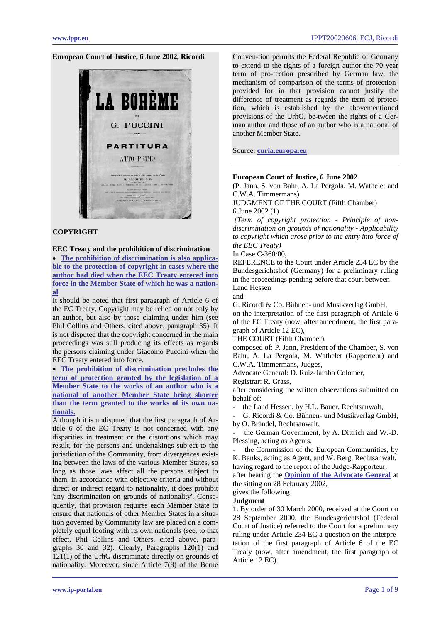### **European Court of Justice, 6 June 2002, Ricordi**



# **COPYRIGHT**

# **EEC Treaty and the prohibition of discrimination**

• **[The prohibition of discrimination is also applica](#page-2-0)[ble to the protection of copyright in cases where the](#page-2-0)  [author had died when the EEC Treaty entered into](#page-2-0)  [force in the Member State of which he was a nation](#page-2-0)[al](#page-2-0)**

It should be noted that first paragraph of Article 6 of the EC Treaty. Copyright may be relied on not only by an author, but also by those claiming under him (see Phil Collins and Others, cited above, paragraph 35). It is not disputed that the copyright concerned in the main proceedings was still producing its effects as regards the persons claiming under Giacomo Puccini when the EEC Treaty entered into force.

• **[The prohibition of discrimination precludes the](#page-2-0)  [term of protection granted by the legislation of a](#page-2-0)  [Member State to the works of an author who is a](#page-2-0)  [national of another Member State being shorter](#page-2-0)  [than the term granted to the works of its own na](#page-2-0)[tionals.](#page-2-0)**

Although it is undisputed that the first paragraph of Article 6 of the EC Treaty is not concerned with any disparities in treatment or the distortions which may result, for the persons and undertakings subject to the jurisdiction of the Community, from divergences existing between the laws of the various Member States, so long as those laws affect all the persons subject to them, in accordance with objective criteria and without direct or indirect regard to nationality, it does prohibit 'any discrimination on grounds of nationality'. Consequently, that provision requires each Member State to ensure that nationals of other Member States in a situation governed by Community law are placed on a completely equal footing with its own nationals (see, to that effect, Phil Collins and Others, cited above, paragraphs 30 and 32). Clearly, Paragraphs 120(1) and 121(1) of the UrhG discriminate directly on grounds of nationality. Moreover, since Article 7(8) of the Berne

Conven-tion permits the Federal Republic of Germany to extend to the rights of a foreign author the 70-year term of pro-tection prescribed by German law, the mechanism of comparison of the terms of protectionprovided for in that provision cannot justify the difference of treatment as regards the term of protection, which is established by the abovementioned provisions of the UrhG, be-tween the rights of a German author and those of an author who is a national of another Member State.

Source: **[curia.europa.eu](http://curia.europa.eu/jurisp/cgi-bin/gettext.pl?lang=en&num=79979393C19000360&doc=T&ouvert=T&seance=ARRET)**

### **European Court of Justice, 6 June 2002**

(P. Jann, S. von Bahr, A. La Pergola, M. Wathelet and C.W.A. Timmermans)

JUDGMENT OF THE COURT (Fifth Chamber) 6 June 2002 (1)

 *(Term of copyright protection - Principle of nondiscrimination on grounds of nationality - Applicability to copyright which arose prior to the entry into force of the EEC Treaty)* 

In Case C-360/00,

REFERENCE to the Court under Article 234 EC by the Bundesgerichtshof (Germany) for a preliminary ruling in the proceedings pending before that court between Land Hessen

and

G. Ricordi & Co. Bühnen- und Musikverlag GmbH,

on the interpretation of the first paragraph of Article 6 of the EC Treaty (now, after amendment, the first paragraph of Article 12 EC),

THE COURT (Fifth Chamber),

composed of: P. Jann, President of the Chamber, S. von Bahr, A. La Pergola, M. Wathelet (Rapporteur) and C.W.A. Timmermans, Judges,

Advocate General: D. Ruiz-Jarabo Colomer,

Registrar: R. Grass,

after considering the written observations submitted on behalf of:

the Land Hessen, by H.L. Bauer, Rechtsanwalt,

- G. Ricordi & Co. Bühnen- und Musikverlag GmbH, by O. Brändel, Rechtsanwalt,

the German Government, by A. Dittrich and W.-D. Plessing, acting as Agents,

the Commission of the European Communities, by K. Banks, acting as Agent, and W. Berg, Rechtsanwalt, having regard to the report of the Judge-Rapporteur,

after hearing the **[Opinion of the Advocate General](#page-3-0)** at the sitting on 28 February 2002,

#### gives the following **Judgment**

1. By order of 30 March 2000, received at the Court on 28 September 2000, the Bundesgerichtshof (Federal Court of Justice) referred to the Court for a preliminary ruling under Article 234 EC a question on the interpretation of the first paragraph of Article 6 of the EC Treaty (now, after amendment, the first paragraph of Article 12 EC).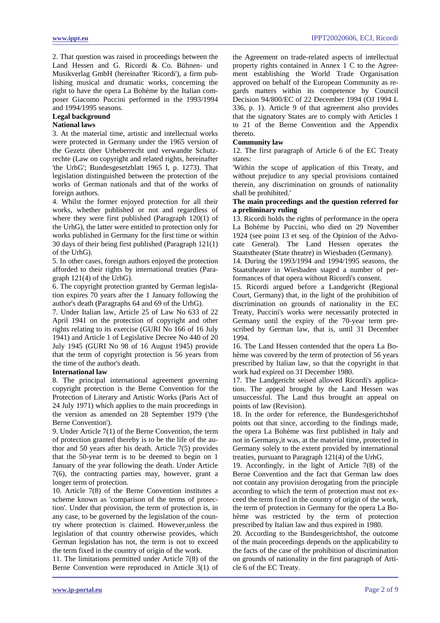2. That question was raised in proceedings between the Land Hessen and G. Ricordi & Co. Bühnen- und Musikverlag GmbH (hereinafter 'Ricordi'), a firm publishing musical and dramatic works, concerning the right to have the opera La Bohème by the Italian composer Giacomo Puccini performed in the 1993/1994 and 1994/1995 seasons.

# **Legal background**

# **National laws**

3. At the material time, artistic and intellectual works were protected in Germany under the 1965 version of the Gezetz über Urheberrecht und verwandte Schutzrechte (Law on copyright and related rights, hereinafter 'the UrhG'; Bundesgesetzblatt 1965 I, p. 1273). That legislation distinguished between the protection of the works of German nationals and that of the works of foreign authors.

4. Whilst the former enjoyed protection for all their works, whether published or not and regardless of where they were first published (Paragraph 120(1) of the UrhG), the latter were entitled to protection only for works published in Germany for the first time or within 30 days of their being first published (Paragraph 121(1) of the UrhG).

5. In other cases, foreign authors enjoyed the protection afforded to their rights by international treaties (Paragraph 121(4) of the UrhG).

6. The copyright protection granted by German legislation expires 70 years after the 1 January following the author's death (Paragraphs 64 and 69 of the UrhG).

7. Under Italian law, Article 25 of Law No 633 of 22 April 1941 on the protection of copyright and other rights relating to its exercise (GURI No 166 of 16 July 1941) and Article 1 of Legislative Decree No 440 of 20 July 1945 (GURI No 98 of 16 August 1945) provide that the term of copyright protection is 56 years from the time of the author's death.

# **International law**

8. The principal international agreement governing copyright protection is the Berne Convention for the Protection of Literary and Artistic Works (Paris Act of 24 July 1971) which applies to the main proceedings in the version as amended on 28 September 1979 ('the Berne Convention').

9. Under Article 7(1) of the Berne Convention, the term of protection granted thereby is to be the life of the author and 50 years after his death. Article 7(5) provides that the 50-year term is to be deemed to begin on 1 January of the year following the death. Under Article 7(6), the contracting parties may, however, grant a longer term of protection.

10. Article 7(8) of the Berne Convention institutes a scheme known as 'comparison of the terms of protection'. Under that provision, the term of protection is, in any case, to be governed by the legislation of the country where protection is claimed. However,unless the legislation of that country otherwise provides, which German legislation has not, the term is not to exceed the term fixed in the country of origin of the work.

11. The limitations permitted under Article 7(8) of the Berne Convention were reproduced in Article 3(1) of the Agreement on trade-related aspects of intellectual property rights contained in Annex 1 C to the Agreement establishing the World Trade Organisation approved on behalf of the European Community as regards matters within its competence by Council Decision 94/800/EC of 22 December 1994 (OJ 1994 L 336, p. 1). Article 9 of that agreement also provides that the signatory States are to comply with Articles 1 to 21 of the Berne Convention and the Appendix thereto.

# **Community law**

12. The first paragraph of Article 6 of the EC Treaty states:

'Within the scope of application of this Treaty, and without prejudice to any special provisions contained therein, any discrimination on grounds of nationality shall be prohibited.'

# **The main proceedings and the question referred for a preliminary ruling**

13. Ricordi holds the rights of performance in the opera La Bohème by Puccini, who died on 29 November 1924 (see point 13 et seq. of the Opinion of the Advocate General). The Land Hessen operates the Staatstheater (State theatre) in Wiesbaden (Germany).

14. During the 1993/1994 and 1994/1995 seasons, the Staatstheater in Wiesbaden staged a number of performances of that opera without Ricordi's consent.

15. Ricordi argued before a Landgericht (Regional Court, Germany) that, in the light of the prohibition of discrimination on grounds of nationality in the EC Treaty, Puccini's works were necessarily protected in Germany until the expiry of the 70-year term prescribed by German law, that is, until 31 December 1994.

16. The Land Hessen contended that the opera La Bohème was covered by the term of protection of 56 years prescribed by Italian law, so that the copyright in that work had expired on 31 December 1980.

17. The Landgericht seised allowed Ricordi's application. The appeal brought by the Land Hessen was unsuccessful. The Land thus brought an appeal on points of law (Revision).

18. In the order for reference, the Bundesgerichtshof points out that since, according to the findings made, the opera La Bohème was first published in Italy and not in Germany,it was, at the material time, protected in Germany solely to the extent provided by international treaties, pursuant to Paragraph 121(4) of the UrhG.

19. Accordingly, in the light of Article 7(8) of the Berne Convention and the fact that German law does not contain any provision derogating from the principle according to which the term of protection must not exceed the term fixed in the country of origin of the work, the term of protection in Germany for the opera La Bohème was restricted by the term of protection prescribed by Italian law and thus expired in 1980.

20. According to the Bundesgerichtshof, the outcome of the main proceedings depends on the applicability to the facts of the case of the prohibition of discrimination on grounds of nationality in the first paragraph of Article 6 of the EC Treaty.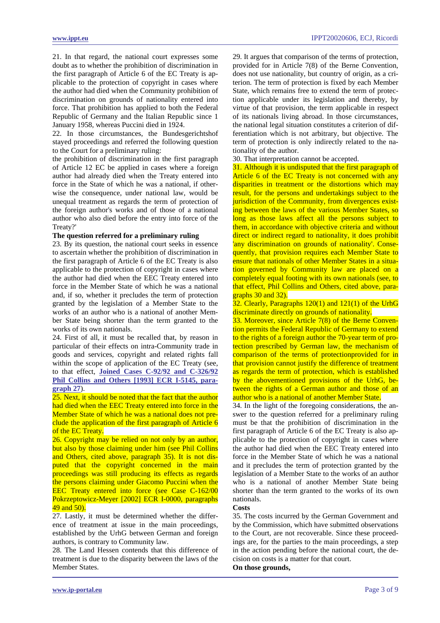<span id="page-2-0"></span>21. In that regard, the national court expresses some doubt as to whether the prohibition of discrimination in the first paragraph of Article 6 of the EC Treaty is applicable to the protection of copyright in cases where the author had died when the Community prohibition of discrimination on grounds of nationality entered into force. That prohibition has applied to both the Federal Republic of Germany and the Italian Republic since 1 January 1958, whereas Puccini died in 1924.

22. In those circumstances, the Bundesgerichtshof stayed proceedings and referred the following question to the Court for a preliminary ruling:

the prohibition of discrimination in the first paragraph of Article 12 EC be applied in cases where a foreign author had already died when the Treaty entered into force in the State of which he was a national, if otherwise the consequence, under national law, would be unequal treatment as regards the term of protection of the foreign author's works and of those of a national author who also died before the entry into force of the Treaty?'

#### **The question referred for a preliminary ruling**

23. By its question, the national court seeks in essence to ascertain whether the prohibition of discrimination in the first paragraph of Article 6 of the EC Treaty is also applicable to the protection of copyright in cases where the author had died when the EEC Treaty entered into force in the Member State of which he was a national and, if so, whether it precludes the term of protection granted by the legislation of a Member State to the works of an author who is a national of another Member State being shorter than the term granted to the works of its own nationals.

24. First of all, it must be recalled that, by reason in particular of their effects on intra-Community trade in goods and services, copyright and related rights fall within the scope of application of the EC Treaty (see, to that effect, **[Joined Cases C-92/92 and C-326/92](http://www.ippt.eu/files/1993/IPPT19931020_ECJ_Phil_Collins.pdf)  [Phil Collins and Others \[1993\] ECR I-5145, para](http://www.ippt.eu/files/1993/IPPT19931020_ECJ_Phil_Collins.pdf)[graph 27](http://www.ippt.eu/files/1993/IPPT19931020_ECJ_Phil_Collins.pdf)**).

25. Next, it should be noted that the fact that the author had died when the EEC Treaty entered into force in the Member State of which he was a national does not preclude the application of the first paragraph of Article 6 of the EC Treaty.

26. Copyright may be relied on not only by an author, but also by those claiming under him (see Phil Collins and Others, cited above, paragraph 35). It is not disputed that the copyright concerned in the main proceedings was still producing its effects as regards the persons claiming under Giacomo Puccini when the EEC Treaty entered into force (see Case C-162/00 Pokrzeptowicz-Meyer [2002] ECR I-0000, paragraphs 49 and 50).

# 27. Lastly, it must be determined whether the difference of treatment at issue in the main proceedings, established by the UrhG between German and foreign authors, is contrary to Community law.

28. The Land Hessen contends that this difference of treatment is due to the disparity between the laws of the Member States.

29. It argues that comparison of the terms of protection, provided for in Article 7(8) of the Berne Convention, does not use nationality, but country of origin, as a criterion. The term of protection is fixed by each Member State, which remains free to extend the term of protection applicable under its legislation and thereby, by virtue of that provision, the term applicable in respect of its nationals living abroad. In those circumstances, the national legal situation constitutes a criterion of differentiation which is not arbitrary, but objective. The term of protection is only indirectly related to the nationality of the author.

30. That interpretation cannot be accepted.

31. Although it is undisputed that the first paragraph of Article 6 of the EC Treaty is not concerned with any disparities in treatment or the distortions which may result, for the persons and undertakings subject to the jurisdiction of the Community, from divergences existing between the laws of the various Member States, so long as those laws affect all the persons subject to them, in accordance with objective criteria and without direct or indirect regard to nationality, it does prohibit 'any discrimination on grounds of nationality'. Consequently, that provision requires each Member State to ensure that nationals of other Member States in a situation governed by Community law are placed on a completely equal footing with its own nationals (see, to that effect, Phil Collins and Others, cited above, paragraphs 30 and 32).

32. Clearly, Paragraphs 120(1) and 121(1) of the UrhG discriminate directly on grounds of nationality.

33. Moreover, since Article 7(8) of the Berne Convention permits the Federal Republic of Germany to extend to the rights of a foreign author the 70-year term of protection prescribed by German law, the mechanism of comparison of the terms of protectionprovided for in that provision cannot justify the difference of treatment as regards the term of protection, which is established by the abovementioned provisions of the UrhG, between the rights of a German author and those of an author who is a national of another Member State.

34. In the light of the foregoing considerations, the answer to the question referred for a preliminary ruling must be that the prohibition of discrimination in the first paragraph of Article 6 of the EC Treaty is also applicable to the protection of copyright in cases where the author had died when the EEC Treaty entered into force in the Member State of which he was a national and it precludes the term of protection granted by the legislation of a Member State to the works of an author who is a national of another Member State being shorter than the term granted to the works of its own nationals.

### **Costs**

35. The costs incurred by the German Government and by the Commission, which have submitted observations to the Court, are not recoverable. Since these proceedings are, for the parties to the main proceedings, a step in the action pending before the national court, the decision on costs is a matter for that court. **On those grounds,**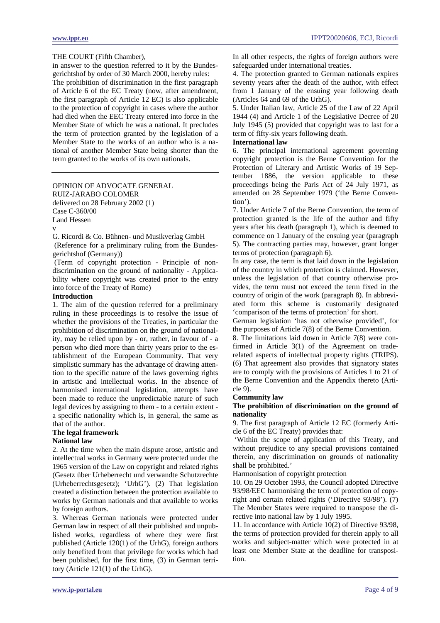<span id="page-3-0"></span>in answer to the question referred to it by the Bundesgerichtshof by order of 30 March 2000, hereby rules:

The prohibition of discrimination in the first paragraph of Article 6 of the EC Treaty (now, after amendment, the first paragraph of Article 12 EC) is also applicable to the protection of copyright in cases where the author had died when the EEC Treaty entered into force in the Member State of which he was a national. It precludes the term of protection granted by the legislation of a Member State to the works of an author who is a national of another Member State being shorter than the term granted to the works of its own nationals.

OPINION OF ADVOCATE GENERAL RUIZ-JARABO COLOMER delivered on 28 February 2002 (1) Case C-360/00 Land Hessen

v

G. Ricordi & Co. Bühnen- und Musikverlag GmbH

 (Reference for a preliminary ruling from the Bundesgerichtshof (Germany))

 (Term of copyright protection - Principle of nondiscrimination on the ground of nationality - Applicability where copyright was created prior to the entry into force of the Treaty of Rome)

#### **Introduction**

1. The aim of the question referred for a preliminary ruling in these proceedings is to resolve the issue of whether the provisions of the Treaties, in particular the prohibition of discrimination on the ground of nationality, may be relied upon by - or, rather, in favour of - a person who died more than thirty years prior to the establishment of the European Community. That very simplistic summary has the advantage of drawing attention to the specific nature of the laws governing rights in artistic and intellectual works. In the absence of harmonised international legislation, attempts have been made to reduce the unpredictable nature of such legal devices by assigning to them - to a certain extent a specific nationality which is, in general, the same as that of the author.

### **The legal framework**

### **National law**

2. At the time when the main dispute arose, artistic and intellectual works in Germany were protected under the 1965 version of the Law on copyright and related rights (Gesetz über Urheberrecht und verwandte Schutzrechte (Urheberrechtsgesetz); 'UrhG'). (2) That legislation created a distinction between the protection available to works by German nationals and that available to works by foreign authors.

3. Whereas German nationals were protected under German law in respect of all their published and unpublished works, regardless of where they were first published (Article 120(1) of the UrhG), foreign authors only benefited from that privilege for works which had been published, for the first time, (3) in German territory (Article 121(1) of the UrhG).

In all other respects, the rights of foreign authors were safeguarded under international treaties.

4. The protection granted to German nationals expires seventy years after the death of the author, with effect from 1 January of the ensuing year following death (Articles 64 and 69 of the UrhG).

5. Under Italian law, Article 25 of the Law of 22 April 1944 (4) and Article 1 of the Legislative Decree of 20 July 1945 (5) provided that copyright was to last for a term of fifty-six years following death.

# **International law**

6. The principal international agreement governing copyright protection is the Berne Convention for the Protection of Literary and Artistic Works of 19 September 1886, the version applicable to these proceedings being the Paris Act of 24 July 1971, as amended on 28 September 1979 ('the Berne Convention').

7. Under Article 7 of the Berne Convention, the term of protection granted is the life of the author and fifty years after his death (paragraph 1), which is deemed to commence on 1 January of the ensuing year (paragraph 5). The contracting parties may, however, grant longer terms of protection (paragraph 6).

In any case, the term is that laid down in the legislation of the country in which protection is claimed. However, unless the legislation of that country otherwise provides, the term must not exceed the term fixed in the country of origin of the work (paragraph 8). In abbreviated form this scheme is customarily designated 'comparison of the terms of protection' for short.

German legislation 'has not otherwise provided', for the purposes of Article 7(8) of the Berne Convention.

8. The limitations laid down in Article 7(8) were confirmed in Article 3(1) of the Agreement on traderelated aspects of intellectual property rights (TRIPS). (6) That agreement also provides that signatory states are to comply with the provisions of Articles 1 to 21 of the Berne Convention and the Appendix thereto (Article 9).

# **Community law**

### **The prohibition of discrimination on the ground of nationality**

9. The first paragraph of Article 12 EC (formerly Article 6 of the EC Treaty) provides that:

 'Within the scope of application of this Treaty, and without prejudice to any special provisions contained therein, any discrimination on grounds of nationality shall be prohibited.'

Harmonisation of copyright protection

10. On 29 October 1993, the Council adopted Directive 93/98/EEC harmonising the term of protection of copyright and certain related rights ('Directive 93/98'). (7) The Member States were required to transpose the directive into national law by 1 July 1995.

11. In accordance with Article 10(2) of Directive 93/98, the terms of protection provided for therein apply to all works and subject-matter which were protected in at least one Member State at the deadline for transposition.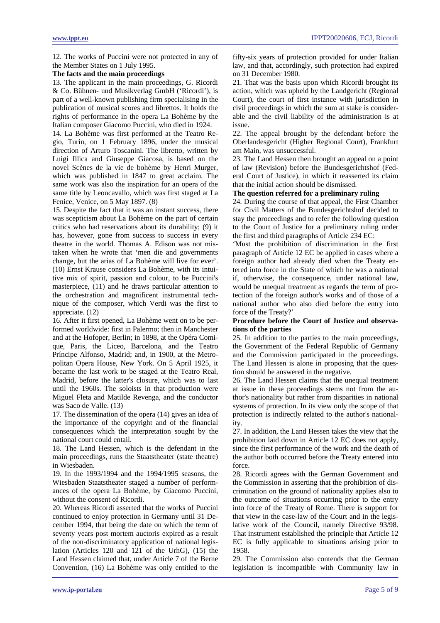12. The works of Puccini were not protected in any of the Member States on 1 July 1995.

#### **The facts and the main proceedings**

13. The applicant in the main proceedings, G. Ricordi & Co. Bühnen- und Musikverlag GmbH ('Ricordi'), is part of a well-known publishing firm specialising in the publication of musical scores and librettos. It holds the rights of performance in the opera La Bohème by the Italian composer Giacomo Puccini, who died in 1924.

14. La Bohème was first performed at the Teatro Regio, Turin, on 1 February 1896, under the musical direction of Arturo Toscanini. The libretto, written by Luigi Illica and Giuseppe Giacosa, is based on the novel Scènes de la vie de bohème by Henri Murger, which was published in 1847 to great acclaim. The same work was also the inspiration for an opera of the same title by Leoncavallo, which was first staged at La Fenice, Venice, on 5 May 1897. (8)

15. Despite the fact that it was an instant success, there was scepticism about La Bohème on the part of certain critics who had reservations about its durability; (9) it has, however, gone from success to success in every theatre in the world. Thomas A. Edison was not mistaken when he wrote that 'men die and governments change, but the arias of La Bohème will live for ever'. (10) Ernst Krause considers La Bohème, with its intuitive mix of spirit, passion and colour, to be Puccini's masterpiece, (11) and he draws particular attention to the orchestration and magnificent instrumental technique of the composer, which Verdi was the first to appreciate. (12)

16. After it first opened, La Bohème went on to be performed worldwide: first in Palermo; then in Manchester and at the Hofoper, Berlin; in 1898, at the Opéra Comique, Paris, the Liceo, Barcelona, and the Teatro Príncipe Alfonso, Madrid; and, in 1900, at the Metropolitan Opera House, New York. On 5 April 1925, it became the last work to be staged at the Teatro Real, Madrid, before the latter's closure, which was to last until the 1960s. The soloists in that production were Miguel Fleta and Matilde Revenga, and the conductor was Saco de Valle. (13)

17. The dissemination of the opera (14) gives an idea of the importance of the copyright and of the financial consequences which the interpretation sought by the national court could entail.

18. The Land Hessen, which is the defendant in the main proceedings, runs the Staatstheater (state theatre) in Wiesbaden.

19. In the 1993/1994 and the 1994/1995 seasons, the Wiesbaden Staatstheater staged a number of performances of the opera La Bohème, by Giacomo Puccini, without the consent of Ricordi.

20. Whereas Ricordi asserted that the works of Puccini continued to enjoy protection in Germany until 31 December 1994, that being the date on which the term of seventy years post mortem auctoris expired as a result of the non-discriminatory application of national legislation (Articles 120 and 121 of the UrhG), (15) the Land Hessen claimed that, under Article 7 of the Berne Convention, (16) La Bohème was only entitled to the fifty-six years of protection provided for under Italian law, and that, accordingly, such protection had expired on 31 December 1980.

21. That was the basis upon which Ricordi brought its action, which was upheld by the Landgericht (Regional Court), the court of first instance with jurisdiction in civil proceedings in which the sum at stake is considerable and the civil liability of the administration is at issue.

22. The appeal brought by the defendant before the Oberlandesgericht (Higher Regional Court), Frankfurt am Main, was unsuccessful.

23. The Land Hessen then brought an appeal on a point of law (Revision) before the Bundesgerichtshof (Federal Court of Justice), in which it reasserted its claim that the initial action should be dismissed.

#### **The question referred for a preliminary ruling**

24. During the course of that appeal, the First Chamber for Civil Matters of the Bundesgerichtshof decided to stay the proceedings and to refer the following question to the Court of Justice for a preliminary ruling under the first and third paragraphs of Article 234 EC:

'Must the prohibition of discrimination in the first paragraph of Article 12 EC be applied in cases where a foreign author had already died when the Treaty entered into force in the State of which he was a national if, otherwise, the consequence, under national law, would be unequal treatment as regards the term of protection of the foreign author's works and of those of a national author who also died before the entry into force of the Treaty?'

### **Procedure before the Court of Justice and observations of the parties**

25. In addition to the parties to the main proceedings, the Government of the Federal Republic of Germany and the Commission participated in the proceedings. The Land Hessen is alone in proposing that the question should be answered in the negative.

26. The Land Hessen claims that the unequal treatment at issue in these proceedings stems not from the author's nationality but rather from disparities in national systems of protection. In its view only the scope of that protection is indirectly related to the author's nationality.

27. In addition, the Land Hessen takes the view that the prohibition laid down in Article 12 EC does not apply, since the first performance of the work and the death of the author both occurred before the Treaty entered into force.

28. Ricordi agrees with the German Government and the Commission in asserting that the prohibition of discrimination on the ground of nationality applies also to the outcome of situations occurring prior to the entry into force of the Treaty of Rome. There is support for that view in the case-law of the Court and in the legislative work of the Council, namely Directive 93/98. That instrument established the principle that Article 12 EC is fully applicable to situations arising prior to 1958.

29. The Commission also contends that the German legislation is incompatible with Community law in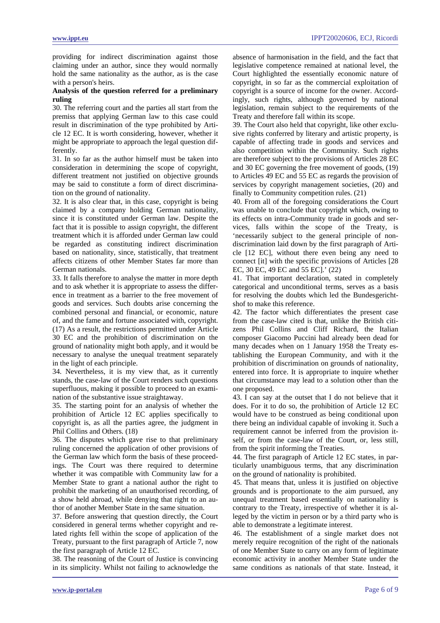providing for indirect discrimination against those claiming under an author, since they would normally hold the same nationality as the author, as is the case with a person's heirs.

### **Analysis of the question referred for a preliminary ruling**

30. The referring court and the parties all start from the premiss that applying German law to this case could result in discrimination of the type prohibited by Article 12 EC. It is worth considering, however, whether it might be appropriate to approach the legal question differently.

31. In so far as the author himself must be taken into consideration in determining the scope of copyright, different treatment not justified on objective grounds may be said to constitute a form of direct discrimination on the ground of nationality.

32. It is also clear that, in this case, copyright is being claimed by a company holding German nationality, since it is constituted under German law. Despite the fact that it is possible to assign copyright, the different treatment which it is afforded under German law could be regarded as constituting indirect discrimination based on nationality, since, statistically, that treatment affects citizens of other Member States far more than German nationals.

33. It falls therefore to analyse the matter in more depth and to ask whether it is appropriate to assess the difference in treatment as a barrier to the free movement of goods and services. Such doubts arise concerning the combined personal and financial, or economic, nature of, and the fame and fortune associated with, copyright. (17) As a result, the restrictions permitted under Article 30 EC and the prohibition of discrimination on the ground of nationality might both apply, and it would be necessary to analyse the unequal treatment separately in the light of each principle.

34. Nevertheless, it is my view that, as it currently stands, the case-law of the Court renders such questions superfluous, making it possible to proceed to an examination of the substantive issue straightaway.

35. The starting point for an analysis of whether the prohibition of Article 12 EC applies specifically to copyright is, as all the parties agree, the judgment in Phil Collins and Others. (18)

36. The disputes which gave rise to that preliminary ruling concerned the application of other provisions of the German law which form the basis of these proceedings. The Court was there required to determine whether it was compatible with Community law for a Member State to grant a national author the right to prohibit the marketing of an unauthorised recording, of a show held abroad, while denying that right to an author of another Member State in the same situation.

37. Before answering that question directly, the Court considered in general terms whether copyright and related rights fell within the scope of application of the Treaty, pursuant to the first paragraph of Article 7, now the first paragraph of Article 12 EC.

38. The reasoning of the Court of Justice is convincing in its simplicity. Whilst not failing to acknowledge the absence of harmonisation in the field, and the fact that legislative competence remained at national level, the Court highlighted the essentially economic nature of copyright, in so far as the commercial exploitation of copyright is a source of income for the owner. Accordingly, such rights, although governed by national legislation, remain subject to the requirements of the Treaty and therefore fall within its scope.

39. The Court also held that copyright, like other exclusive rights conferred by literary and artistic property, is capable of affecting trade in goods and services and also competition within the Community. Such rights are therefore subject to the provisions of Articles 28 EC and 30 EC governing the free movement of goods, (19) to Articles 49 EC and 55 EC as regards the provision of services by copyright management societies, (20) and finally to Community competition rules. (21)

40. From all of the foregoing considerations the Court was unable to conclude that copyright which, owing to its effects on intra-Community trade in goods and services, falls within the scope of the Treaty, is 'necessarily subject to the general principle of nondiscrimination laid down by the first paragraph of Article [12 EC], without there even being any need to connect [it] with the specific provisions of Articles [28 EC, 30 EC, 49 EC and 55 EC].' (22)

41. That important declaration, stated in completely categorical and unconditional terms, serves as a basis for resolving the doubts which led the Bundesgerichtshof to make this reference.

42. The factor which differentiates the present case from the case-law cited is that, unlike the British citizens Phil Collins and Cliff Richard, the Italian composer Giacomo Puccini had already been dead for many decades when on 1 January 1958 the Treaty establishing the European Community, and with it the prohibition of discrimination on grounds of nationality, entered into force. It is appropriate to inquire whether that circumstance may lead to a solution other than the one proposed.

43. I can say at the outset that I do not believe that it does. For it to do so, the prohibition of Article 12 EC would have to be construed as being conditional upon there being an individual capable of invoking it. Such a requirement cannot be inferred from the provision itself, or from the case-law of the Court, or, less still, from the spirit informing the Treaties.

44. The first paragraph of Article 12 EC states, in particularly unambiguous terms, that any discrimination on the ground of nationality is prohibited.

45. That means that, unless it is justified on objective grounds and is proportionate to the aim pursued, any unequal treatment based essentially on nationality is contrary to the Treaty, irrespective of whether it is alleged by the victim in person or by a third party who is able to demonstrate a legitimate interest.

46. The establishment of a single market does not merely require recognition of the right of the nationals of one Member State to carry on any form of legitimate economic activity in another Member State under the same conditions as nationals of that state. Instead, it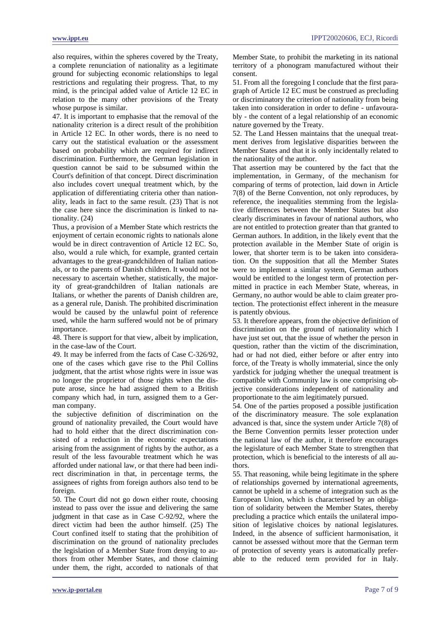also requires, within the spheres covered by the Treaty, a complete renunciation of nationality as a legitimate ground for subjecting economic relationships to legal restrictions and regulating their progress. That, to my mind, is the principal added value of Article 12 EC in relation to the many other provisions of the Treaty whose purpose is similar.

47. It is important to emphasise that the removal of the nationality criterion is a direct result of the prohibition in Article 12 EC. In other words, there is no need to carry out the statistical evaluation or the assessment based on probability which are required for indirect discrimination. Furthermore, the German legislation in question cannot be said to be subsumed within the Court's definition of that concept. Direct discrimination also includes covert unequal treatment which, by the application of differentiating criteria other than nationality, leads in fact to the same result. (23) That is not the case here since the discrimination is linked to nationality. (24)

Thus, a provision of a Member State which restricts the enjoyment of certain economic rights to nationals alone would be in direct contravention of Article 12 EC. So, also, would a rule which, for example, granted certain advantages to the great-grandchildren of Italian nationals, or to the parents of Danish children. It would not be necessary to ascertain whether, statistically, the majority of great-grandchildren of Italian nationals are Italians, or whether the parents of Danish children are, as a general rule, Danish. The prohibited discrimination would be caused by the unlawful point of reference used, while the harm suffered would not be of primary importance.

48. There is support for that view, albeit by implication, in the case-law of the Court.

49. It may be inferred from the facts of Case C-326/92, one of the cases which gave rise to the Phil Collins judgment, that the artist whose rights were in issue was no longer the proprietor of those rights when the dispute arose, since he had assigned them to a British company which had, in turn, assigned them to a German company.

the subjective definition of discrimination on the ground of nationality prevailed, the Court would have had to hold either that the direct discrimination consisted of a reduction in the economic expectations arising from the assignment of rights by the author, as a result of the less favourable treatment which he was afforded under national law, or that there had been indirect discrimination in that, in percentage terms, the assignees of rights from foreign authors also tend to be foreign.

50. The Court did not go down either route, choosing instead to pass over the issue and delivering the same judgment in that case as in Case C-92/92, where the direct victim had been the author himself. (25) The Court confined itself to stating that the prohibition of discrimination on the ground of nationality precludes the legislation of a Member State from denying to authors from other Member States, and those claiming under them, the right, accorded to nationals of that

Member State, to prohibit the marketing in its national territory of a phonogram manufactured without their consent.

51. From all the foregoing I conclude that the first paragraph of Article 12 EC must be construed as precluding or discriminatory the criterion of nationality from being taken into consideration in order to define - unfavourably - the content of a legal relationship of an economic nature governed by the Treaty.

52. The Land Hessen maintains that the unequal treatment derives from legislative disparities between the Member States and that it is only incidentally related to the nationality of the author.

That assertion may be countered by the fact that the implementation, in Germany, of the mechanism for comparing of terms of protection, laid down in Article 7(8) of the Berne Convention, not only reproduces, by reference, the inequalities stemming from the legislative differences between the Member States but also clearly discriminates in favour of national authors, who are not entitled to protection greater than that granted to German authors. In addition, in the likely event that the protection available in the Member State of origin is lower, that shorter term is to be taken into consideration. On the supposition that all the Member States were to implement a similar system, German authors would be entitled to the longest term of protection permitted in practice in each Member State, whereas, in Germany, no author would be able to claim greater protection. The protectionist effect inherent in the measure is patently obvious.

53. It therefore appears, from the objective definition of discrimination on the ground of nationality which I have just set out, that the issue of whether the person in question, rather than the victim of the discrimination, had or had not died, either before or after entry into force, of the Treaty is wholly immaterial, since the only yardstick for judging whether the unequal treatment is compatible with Community law is one comprising objective considerations independent of nationality and proportionate to the aim legitimately pursued.

54. One of the parties proposed a possible justification of the discriminatory measure. The sole explanation advanced is that, since the system under Article 7(8) of the Berne Convention permits lesser protection under the national law of the author, it therefore encourages the legislature of each Member State to strengthen that protection, which is beneficial to the interests of all authors.

55. That reasoning, while being legitimate in the sphere of relationships governed by international agreements, cannot be upheld in a scheme of integration such as the European Union, which is characterised by an obligation of solidarity between the Member States, thereby precluding a practice which entails the unilateral imposition of legislative choices by national legislatures. Indeed, in the absence of sufficient harmonisation, it cannot be assessed without more that the German term of protection of seventy years is automatically preferable to the reduced term provided for in Italy.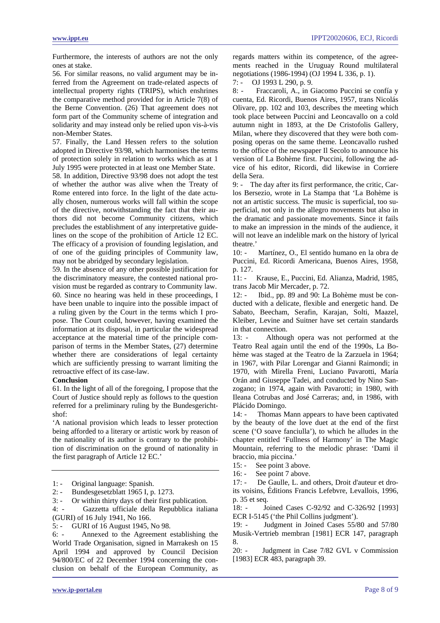Furthermore, the interests of authors are not the only ones at stake.

56. For similar reasons, no valid argument may be inferred from the Agreement on trade-related aspects of intellectual property rights (TRIPS), which enshrines the comparative method provided for in Article 7(8) of the Berne Convention. (26) That agreement does not form part of the Community scheme of integration and solidarity and may instead only be relied upon vis-à-vis non-Member States.

57. Finally, the Land Hessen refers to the solution adopted in Directive 93/98, which harmonises the terms of protection solely in relation to works which as at 1 July 1995 were protected in at least one Member State.

58. In addition, Directive 93/98 does not adopt the test of whether the author was alive when the Treaty of Rome entered into force. In the light of the date actually chosen, numerous works will fall within the scope of the directive, notwithstanding the fact that their authors did not become Community citizens, which precludes the establishment of any interpretative guidelines on the scope of the prohibition of Article 12 EC. The efficacy of a provision of founding legislation, and of one of the guiding principles of Community law, may not be abridged by secondary legislation.

59. In the absence of any other possible justification for the discriminatory measure, the contested national provision must be regarded as contrary to Community law. 60. Since no hearing was held in these proceedings, I have been unable to inquire into the possible impact of a ruling given by the Court in the terms which I propose. The Court could, however, having examined the information at its disposal, in particular the widespread acceptance at the material time of the principle comparison of terms in the Member States, (27) determine whether there are considerations of legal certainty which are sufficiently pressing to warrant limiting the retroactive effect of its case-law.

#### **Conclusion**

61. In the light of all of the foregoing, I propose that the Court of Justice should reply as follows to the question referred for a preliminary ruling by the Bundesgerichtshof:

'A national provision which leads to lesser protection being afforded to a literary or artistic work by reason of the nationality of its author is contrary to the prohibition of discrimination on the ground of nationality in the first paragraph of Article 12 EC.'

- 1: Original language: Spanish.
- 2: Bundesgesetzblatt 1965 I, p. 1273.

3: - Or within thirty days of their first publication.

4: - Gazzetta ufficiale della Repubblica italiana (GURI) of 16 July 1941, No 166.

5: - GURI of 16 August 1945, No 98.<br>6: - Annexed to the Agreement of Annexed to the Agreement establishing the World Trade Organisation, signed in Marrakesh on 15 April 1994 and approved by Council Decision 94/800/EC of 22 December 1994 concerning the conclusion on behalf of the European Community, as

regards matters within its competence, of the agreements reached in the Uruguay Round multilateral negotiations (1986-1994) (OJ 1994 L 336, p. 1).

7: - OJ 1993 L 290, p. 9.

8: - Fraccaroli, A., in Giacomo Puccini se confía y cuenta, Ed. Ricordi, Buenos Aires, 1957, trans Nicolás Olivare, pp. 102 and 103, describes the meeting which took place between Puccini and Leoncavallo on a cold autumn night in 1893, at the De Cristofolis Gallery, Milan, where they discovered that they were both composing operas on the same theme. Leoncavallo rushed to the office of the newspaper Il Secolo to announce his version of La Bohème first. Puccini, following the advice of his editor, Ricordi, did likewise in Corriere della Sera.

9: - The day after its first performance, the critic, Carlos Bersezio, wrote in La Stampa that 'La Bohème is not an artistic success. The music is superficial, too superficial, not only in the allegro movements but also in the dramatic and passionate movements. Since it fails to make an impression in the minds of the audience, it will not leave an indelible mark on the history of lyrical theatre.'

10: - Martínez, O., El sentido humano en la obra de Puccini, Ed. Ricordi Americana, Buenos Aires, 1958, p. 127.

11: - Krause, E., Puccini, Ed. Alianza, Madrid, 1985, trans Jacob Mir Mercader, p. 72.

12: - Ibid., pp. 89 and 90: La Bohème must be conducted with a delicate, flexible and energetic hand. De Sabato, Beecham, Serafin, Karajan, Solti, Maazel, Kleiber, Levine and Suitner have set certain standards in that connection.

13: - Although opera was not performed at the Teatro Real again until the end of the 1990s, La Bohème was staged at the Teatro de la Zarzuela in 1964; in 1967, with Pilar Lorengar and Gianni Raimondi; in 1970, with Mirella Freni, Luciano Pavarotti, María Orán and Giuseppe Tadei, and conducted by Nino Sanzogano; in 1974, again with Pavarotti; in 1980, with Ileana Cotrubas and José Carreras; and, in 1986, with Plácido Domingo.

14: - Thomas Mann appears to have been captivated by the beauty of the love duet at the end of the first scene ('O soave fanciulla'), to which he alludes in the chapter entitled 'Fullness of Harmony' in The Magic Mountain, referring to the melodic phrase: 'Dami il braccio, mia piccina.'

15: - See point 3 above.

16: - See point 7 above.

17: - De Gaulle, L. and others, Droit d'auteur et droits voisins, Éditions Francis Lefebvre, Levallois, 1996, p. 35 et seq.

18: - Joined Cases C-92/92 and C-326/92 [1993] ECR I-5145 ('the Phil Collins judgment').

19: - Judgment in Joined Cases 55/80 and 57/80 Musik-Vertrieb membran [1981] ECR 147, paragraph 8.

20: - Judgment in Case 7/82 GVL v Commission [1983] ECR 483, paragraph 39.